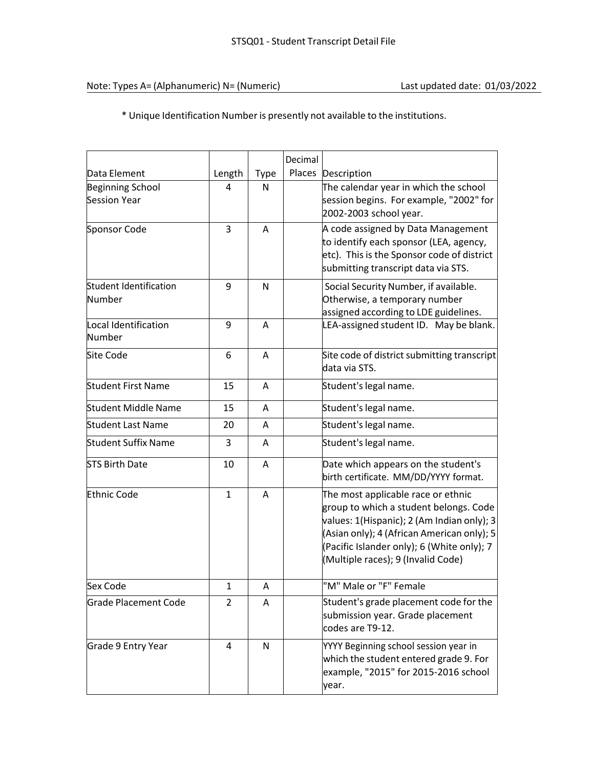\* Unique Identification Number is presently not available to the institutions.

|                                                |              |      | Decimal |                                                                                                                                                                                                                                                              |
|------------------------------------------------|--------------|------|---------|--------------------------------------------------------------------------------------------------------------------------------------------------------------------------------------------------------------------------------------------------------------|
| Data Element                                   | Length       | Type | Places  | Description                                                                                                                                                                                                                                                  |
| <b>Beginning School</b><br><b>Session Year</b> | 4            | N    |         | The calendar year in which the school<br>session begins. For example, "2002" for<br>2002-2003 school year.                                                                                                                                                   |
| Sponsor Code                                   | 3            | Α    |         | A code assigned by Data Management<br>to identify each sponsor (LEA, agency,<br>etc). This is the Sponsor code of district<br>submitting transcript data via STS.                                                                                            |
| Student Identification<br>Number               | 9            | N    |         | Social Security Number, if available.<br>Otherwise, a temporary number<br>assigned according to LDE guidelines.                                                                                                                                              |
| Local Identification<br>Number                 | 9            | A    |         | LEA-assigned student ID. May be blank.                                                                                                                                                                                                                       |
| <b>Site Code</b>                               | 6            | A    |         | Site code of district submitting transcript<br>data via STS.                                                                                                                                                                                                 |
| <b>Student First Name</b>                      | 15           | A    |         | Student's legal name.                                                                                                                                                                                                                                        |
| Student Middle Name                            | 15           | A    |         | Student's legal name.                                                                                                                                                                                                                                        |
| <b>Student Last Name</b>                       | 20           | A    |         | Student's legal name.                                                                                                                                                                                                                                        |
| <b>Student Suffix Name</b>                     | 3            | A    |         | Student's legal name.                                                                                                                                                                                                                                        |
| <b>STS Birth Date</b>                          | 10           | A    |         | Date which appears on the student's<br>birth certificate. MM/DD/YYYY format.                                                                                                                                                                                 |
| <b>Ethnic Code</b>                             | $\mathbf{1}$ | A    |         | The most applicable race or ethnic<br>group to which a student belongs. Code<br>values: 1(Hispanic); 2 (Am Indian only); 3<br>(Asian only); 4 (African American only); 5<br>(Pacific Islander only); 6 (White only); 7<br>(Multiple races); 9 (Invalid Code) |
| Sex Code                                       | $\mathbf{1}$ | Α    |         | "M" Male or "F" Female                                                                                                                                                                                                                                       |
| <b>Grade Placement Code</b>                    | 2            | A    |         | Student's grade placement code for the<br>submission year. Grade placement<br>codes are T9-12.                                                                                                                                                               |
| Grade 9 Entry Year                             | 4            | N    |         | YYYY Beginning school session year in<br>which the student entered grade 9. For<br>example, "2015" for 2015-2016 school<br>year.                                                                                                                             |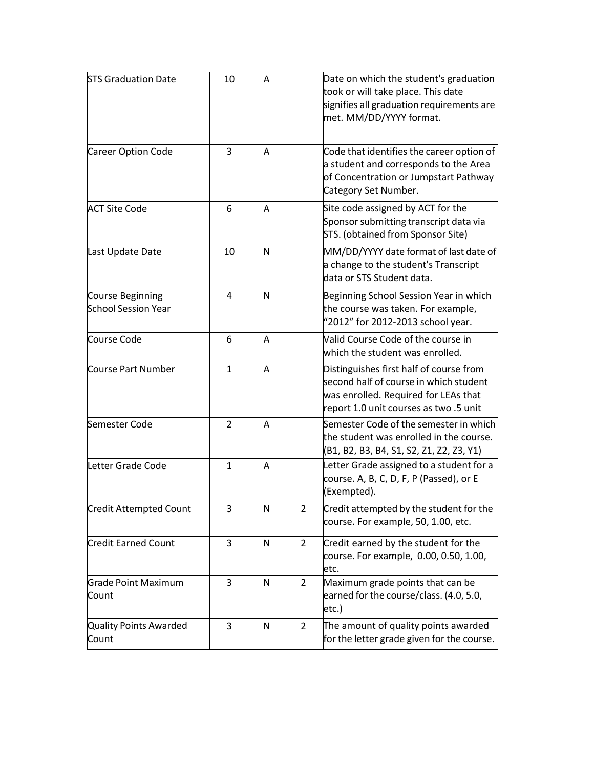| <b>STS Graduation Date</b>                     | 10            | A |                | Date on which the student's graduation<br>took or will take place. This date<br>signifies all graduation requirements are<br>met. MM/DD/YYYY format.                |
|------------------------------------------------|---------------|---|----------------|---------------------------------------------------------------------------------------------------------------------------------------------------------------------|
| Career Option Code                             | 3             | A |                | Code that identifies the career option of<br>a student and corresponds to the Area<br>of Concentration or Jumpstart Pathway<br>Category Set Number.                 |
| <b>ACT Site Code</b>                           | 6             | A |                | Site code assigned by ACT for the<br>Sponsor submitting transcript data via<br>STS. (obtained from Sponsor Site)                                                    |
| Last Update Date                               | 10            | N |                | MM/DD/YYYY date format of last date of<br>a change to the student's Transcript<br>data or STS Student data.                                                         |
| Course Beginning<br><b>School Session Year</b> | 4             | N |                | Beginning School Session Year in which<br>the course was taken. For example,<br>"2012" for 2012-2013 school year.                                                   |
| Course Code                                    | 6             | A |                | Valid Course Code of the course in<br>which the student was enrolled.                                                                                               |
| Course Part Number                             | 1             | A |                | Distinguishes first half of course from<br>second half of course in which student<br>was enrolled. Required for LEAs that<br>report 1.0 unit courses as two .5 unit |
| Semester Code                                  | $\mathcal{P}$ | Α |                | Semester Code of the semester in which<br>the student was enrolled in the course.<br>(B1, B2, B3, B4, S1, S2, Z1, Z2, Z3, Y1)                                       |
| Letter Grade Code                              | $\mathbf{1}$  | Α |                | Letter Grade assigned to a student for a<br>course. A, B, C, D, F, P (Passed), or E<br>(Exempted).                                                                  |
| <b>Credit Attempted Count</b>                  | 3             | N | 2              | Credit attempted by the student for the<br>course. For example, 50, 1.00, etc.                                                                                      |
| <b>Credit Earned Count</b>                     | 3             | N | $\overline{2}$ | Credit earned by the student for the<br>course. For example, 0.00, 0.50, 1.00,<br>etc.                                                                              |
| <b>Grade Point Maximum</b><br>Count            | 3             | N | $\overline{2}$ | Maximum grade points that can be<br>earned for the course/class. (4.0, 5.0,<br>etc.)                                                                                |
| Quality Points Awarded<br>Count                | 3             | N | $\overline{2}$ | The amount of quality points awarded<br>for the letter grade given for the course.                                                                                  |